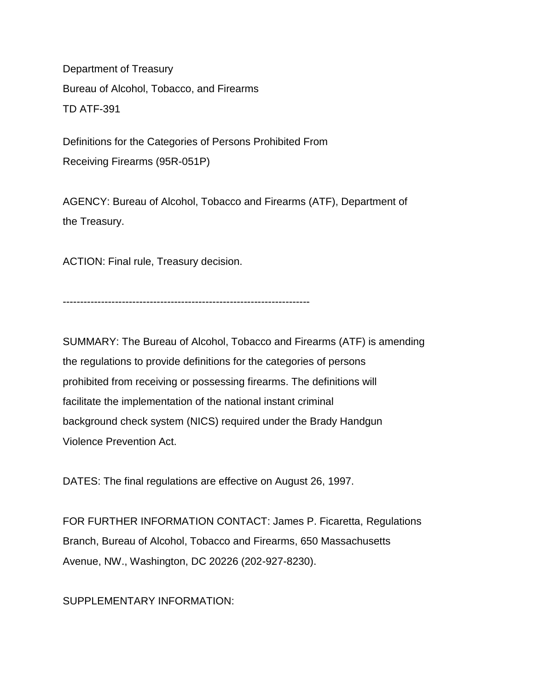Department of Treasury Bureau of Alcohol, Tobacco, and Firearms TD ATF-391

Definitions for the Categories of Persons Prohibited From Receiving Firearms (95R-051P)

AGENCY: Bureau of Alcohol, Tobacco and Firearms (ATF), Department of the Treasury.

ACTION: Final rule, Treasury decision.

-----------------------------------------------------------------------

SUMMARY: The Bureau of Alcohol, Tobacco and Firearms (ATF) is amending the regulations to provide definitions for the categories of persons prohibited from receiving or possessing firearms. The definitions will facilitate the implementation of the national instant criminal background check system (NICS) required under the Brady Handgun Violence Prevention Act.

DATES: The final regulations are effective on August 26, 1997.

FOR FURTHER INFORMATION CONTACT: James P. Ficaretta, Regulations Branch, Bureau of Alcohol, Tobacco and Firearms, 650 Massachusetts Avenue, NW., Washington, DC 20226 (202-927-8230).

SUPPLEMENTARY INFORMATION: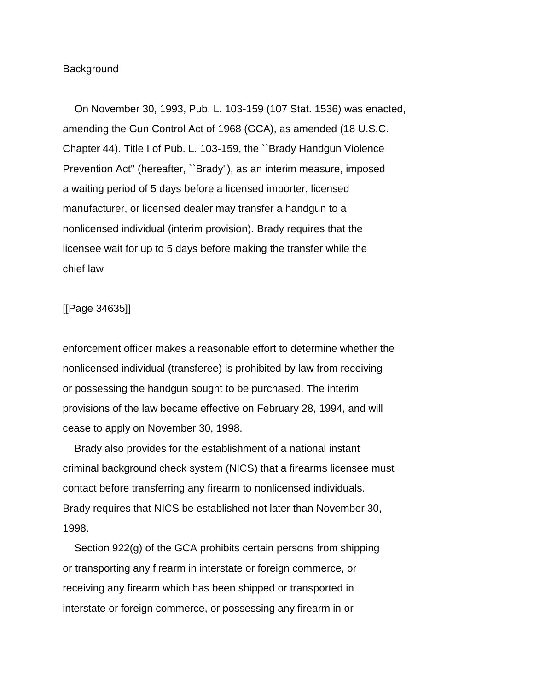### **Background**

 On November 30, 1993, Pub. L. 103-159 (107 Stat. 1536) was enacted, amending the Gun Control Act of 1968 (GCA), as amended (18 U.S.C. Chapter 44). Title I of Pub. L. 103-159, the ``Brady Handgun Violence Prevention Act'' (hereafter, ``Brady''), as an interim measure, imposed a waiting period of 5 days before a licensed importer, licensed manufacturer, or licensed dealer may transfer a handgun to a nonlicensed individual (interim provision). Brady requires that the licensee wait for up to 5 days before making the transfer while the chief law

## [[Page 34635]]

enforcement officer makes a reasonable effort to determine whether the nonlicensed individual (transferee) is prohibited by law from receiving or possessing the handgun sought to be purchased. The interim provisions of the law became effective on February 28, 1994, and will cease to apply on November 30, 1998.

 Brady also provides for the establishment of a national instant criminal background check system (NICS) that a firearms licensee must contact before transferring any firearm to nonlicensed individuals. Brady requires that NICS be established not later than November 30, 1998.

 Section 922(g) of the GCA prohibits certain persons from shipping or transporting any firearm in interstate or foreign commerce, or receiving any firearm which has been shipped or transported in interstate or foreign commerce, or possessing any firearm in or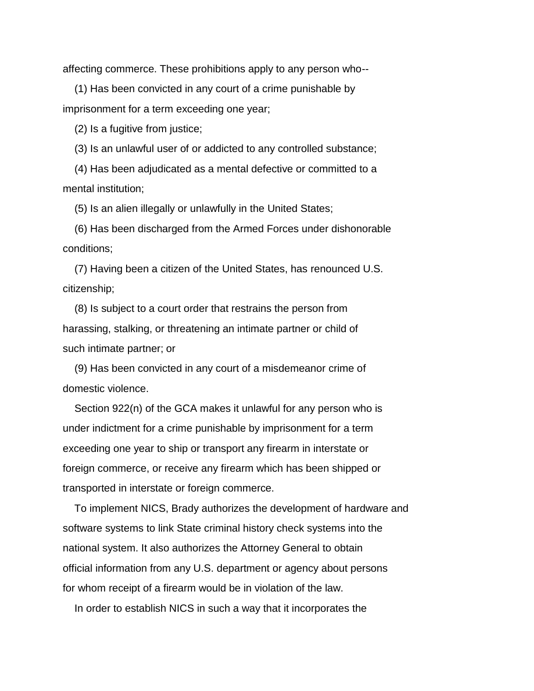affecting commerce. These prohibitions apply to any person who--

 (1) Has been convicted in any court of a crime punishable by imprisonment for a term exceeding one year;

(2) Is a fugitive from justice;

(3) Is an unlawful user of or addicted to any controlled substance;

 (4) Has been adjudicated as a mental defective or committed to a mental institution;

(5) Is an alien illegally or unlawfully in the United States;

 (6) Has been discharged from the Armed Forces under dishonorable conditions;

 (7) Having been a citizen of the United States, has renounced U.S. citizenship;

 (8) Is subject to a court order that restrains the person from harassing, stalking, or threatening an intimate partner or child of such intimate partner; or

 (9) Has been convicted in any court of a misdemeanor crime of domestic violence.

 Section 922(n) of the GCA makes it unlawful for any person who is under indictment for a crime punishable by imprisonment for a term exceeding one year to ship or transport any firearm in interstate or foreign commerce, or receive any firearm which has been shipped or transported in interstate or foreign commerce.

 To implement NICS, Brady authorizes the development of hardware and software systems to link State criminal history check systems into the national system. It also authorizes the Attorney General to obtain official information from any U.S. department or agency about persons for whom receipt of a firearm would be in violation of the law.

In order to establish NICS in such a way that it incorporates the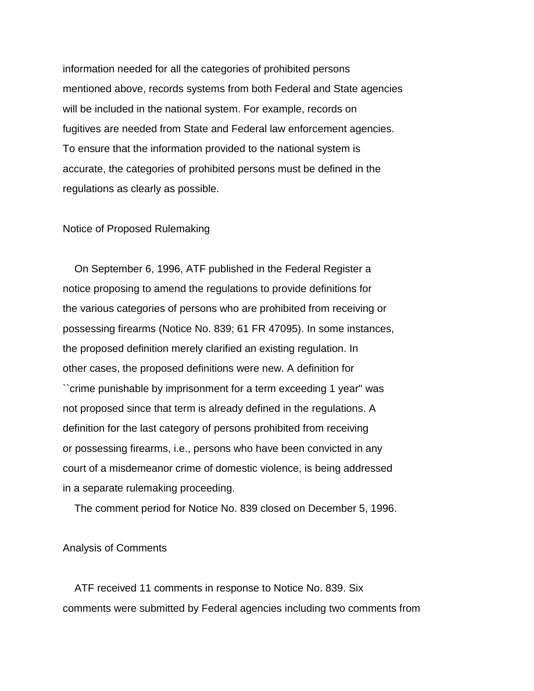information needed for all the categories of prohibited persons mentioned above, records systems from both Federal and State agencies will be included in the national system. For example, records on fugitives are needed from State and Federal law enforcement agencies. To ensure that the information provided to the national system is accurate, the categories of prohibited persons must be defined in the regulations as clearly as possible.

### Notice of Proposed Rulemaking

 On September 6, 1996, ATF published in the Federal Register a notice proposing to amend the regulations to provide definitions for the various categories of persons who are prohibited from receiving or possessing firearms (Notice No. 839; 61 FR 47095). In some instances, the proposed definition merely clarified an existing regulation. In other cases, the proposed definitions were new. A definition for ``crime punishable by imprisonment for a term exceeding 1 year'' was not proposed since that term is already defined in the regulations. A definition for the last category of persons prohibited from receiving or possessing firearms, i.e., persons who have been convicted in any court of a misdemeanor crime of domestic violence, is being addressed in a separate rulemaking proceeding.

The comment period for Notice No. 839 closed on December 5, 1996.

Analysis of Comments

 ATF received 11 comments in response to Notice No. 839. Six comments were submitted by Federal agencies including two comments from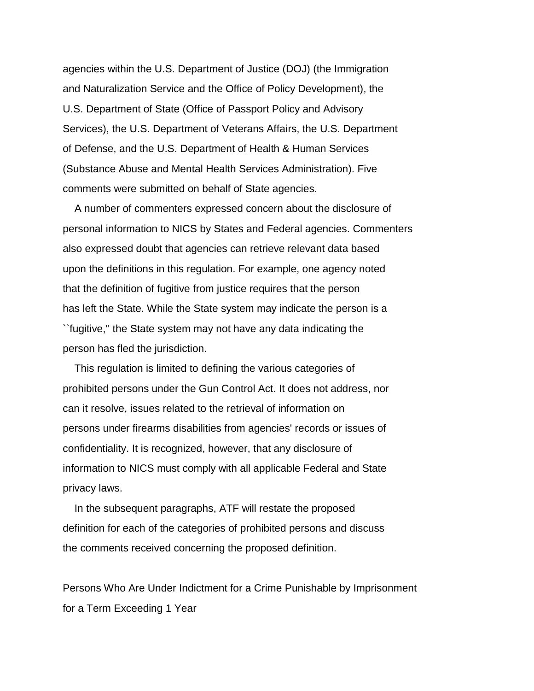agencies within the U.S. Department of Justice (DOJ) (the Immigration and Naturalization Service and the Office of Policy Development), the U.S. Department of State (Office of Passport Policy and Advisory Services), the U.S. Department of Veterans Affairs, the U.S. Department of Defense, and the U.S. Department of Health & Human Services (Substance Abuse and Mental Health Services Administration). Five comments were submitted on behalf of State agencies.

 A number of commenters expressed concern about the disclosure of personal information to NICS by States and Federal agencies. Commenters also expressed doubt that agencies can retrieve relevant data based upon the definitions in this regulation. For example, one agency noted that the definition of fugitive from justice requires that the person has left the State. While the State system may indicate the person is a ``fugitive,'' the State system may not have any data indicating the person has fled the jurisdiction.

 This regulation is limited to defining the various categories of prohibited persons under the Gun Control Act. It does not address, nor can it resolve, issues related to the retrieval of information on persons under firearms disabilities from agencies' records or issues of confidentiality. It is recognized, however, that any disclosure of information to NICS must comply with all applicable Federal and State privacy laws.

 In the subsequent paragraphs, ATF will restate the proposed definition for each of the categories of prohibited persons and discuss the comments received concerning the proposed definition.

Persons Who Are Under Indictment for a Crime Punishable by Imprisonment for a Term Exceeding 1 Year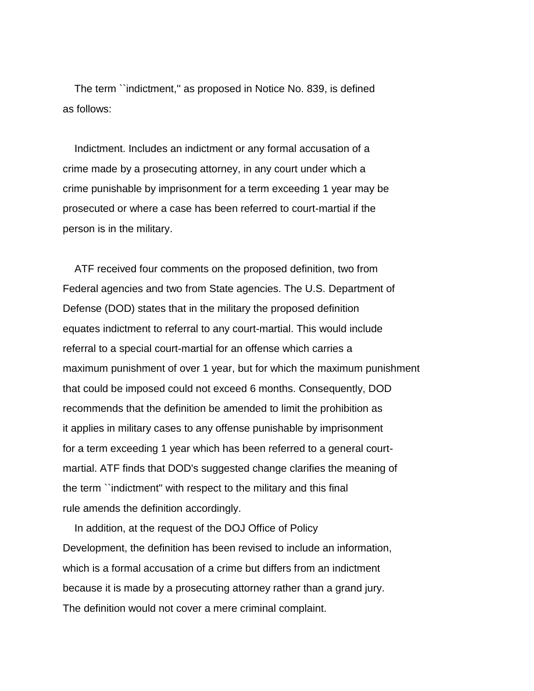The term ``indictment,'' as proposed in Notice No. 839, is defined as follows:

 Indictment. Includes an indictment or any formal accusation of a crime made by a prosecuting attorney, in any court under which a crime punishable by imprisonment for a term exceeding 1 year may be prosecuted or where a case has been referred to court-martial if the person is in the military.

 ATF received four comments on the proposed definition, two from Federal agencies and two from State agencies. The U.S. Department of Defense (DOD) states that in the military the proposed definition equates indictment to referral to any court-martial. This would include referral to a special court-martial for an offense which carries a maximum punishment of over 1 year, but for which the maximum punishment that could be imposed could not exceed 6 months. Consequently, DOD recommends that the definition be amended to limit the prohibition as it applies in military cases to any offense punishable by imprisonment for a term exceeding 1 year which has been referred to a general courtmartial. ATF finds that DOD's suggested change clarifies the meaning of the term ``indictment'' with respect to the military and this final rule amends the definition accordingly.

 In addition, at the request of the DOJ Office of Policy Development, the definition has been revised to include an information, which is a formal accusation of a crime but differs from an indictment because it is made by a prosecuting attorney rather than a grand jury. The definition would not cover a mere criminal complaint.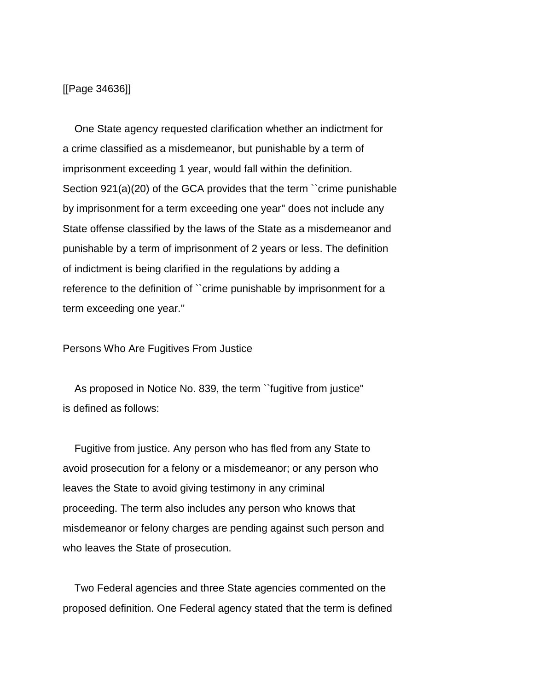[[Page 34636]]

 One State agency requested clarification whether an indictment for a crime classified as a misdemeanor, but punishable by a term of imprisonment exceeding 1 year, would fall within the definition. Section 921(a)(20) of the GCA provides that the term ``crime punishable by imprisonment for a term exceeding one year'' does not include any State offense classified by the laws of the State as a misdemeanor and punishable by a term of imprisonment of 2 years or less. The definition of indictment is being clarified in the regulations by adding a reference to the definition of ``crime punishable by imprisonment for a term exceeding one year.''

Persons Who Are Fugitives From Justice

 As proposed in Notice No. 839, the term ``fugitive from justice'' is defined as follows:

 Fugitive from justice. Any person who has fled from any State to avoid prosecution for a felony or a misdemeanor; or any person who leaves the State to avoid giving testimony in any criminal proceeding. The term also includes any person who knows that misdemeanor or felony charges are pending against such person and who leaves the State of prosecution.

 Two Federal agencies and three State agencies commented on the proposed definition. One Federal agency stated that the term is defined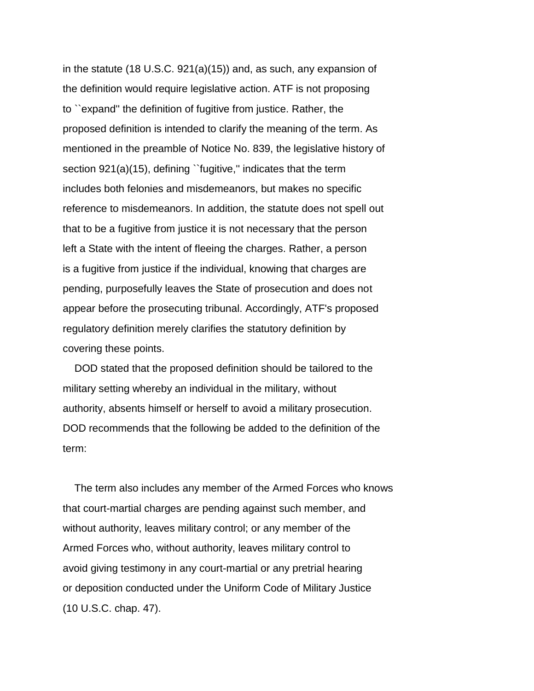in the statute (18 U.S.C. 921(a)(15)) and, as such, any expansion of the definition would require legislative action. ATF is not proposing to ``expand'' the definition of fugitive from justice. Rather, the proposed definition is intended to clarify the meaning of the term. As mentioned in the preamble of Notice No. 839, the legislative history of section 921(a)(15), defining "fugitive," indicates that the term includes both felonies and misdemeanors, but makes no specific reference to misdemeanors. In addition, the statute does not spell out that to be a fugitive from justice it is not necessary that the person left a State with the intent of fleeing the charges. Rather, a person is a fugitive from justice if the individual, knowing that charges are pending, purposefully leaves the State of prosecution and does not appear before the prosecuting tribunal. Accordingly, ATF's proposed regulatory definition merely clarifies the statutory definition by covering these points.

 DOD stated that the proposed definition should be tailored to the military setting whereby an individual in the military, without authority, absents himself or herself to avoid a military prosecution. DOD recommends that the following be added to the definition of the term:

 The term also includes any member of the Armed Forces who knows that court-martial charges are pending against such member, and without authority, leaves military control; or any member of the Armed Forces who, without authority, leaves military control to avoid giving testimony in any court-martial or any pretrial hearing or deposition conducted under the Uniform Code of Military Justice (10 U.S.C. chap. 47).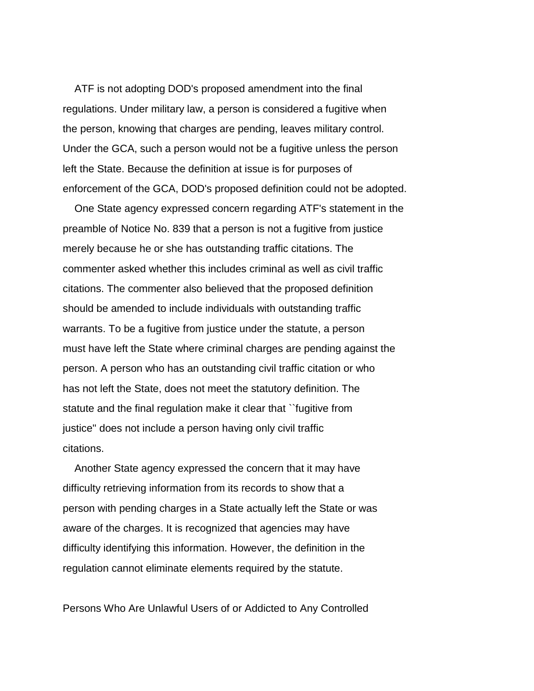ATF is not adopting DOD's proposed amendment into the final regulations. Under military law, a person is considered a fugitive when the person, knowing that charges are pending, leaves military control. Under the GCA, such a person would not be a fugitive unless the person left the State. Because the definition at issue is for purposes of enforcement of the GCA, DOD's proposed definition could not be adopted.

 One State agency expressed concern regarding ATF's statement in the preamble of Notice No. 839 that a person is not a fugitive from justice merely because he or she has outstanding traffic citations. The commenter asked whether this includes criminal as well as civil traffic citations. The commenter also believed that the proposed definition should be amended to include individuals with outstanding traffic warrants. To be a fugitive from justice under the statute, a person must have left the State where criminal charges are pending against the person. A person who has an outstanding civil traffic citation or who has not left the State, does not meet the statutory definition. The statute and the final regulation make it clear that ``fugitive from justice'' does not include a person having only civil traffic citations.

 Another State agency expressed the concern that it may have difficulty retrieving information from its records to show that a person with pending charges in a State actually left the State or was aware of the charges. It is recognized that agencies may have difficulty identifying this information. However, the definition in the regulation cannot eliminate elements required by the statute.

Persons Who Are Unlawful Users of or Addicted to Any Controlled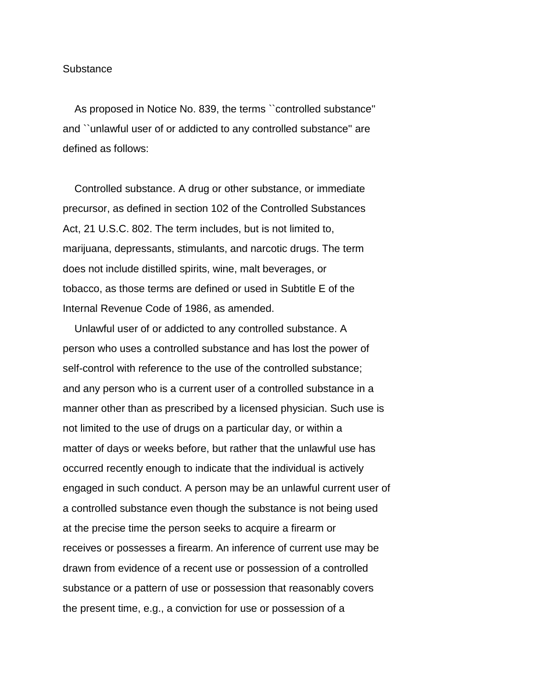#### **Substance**

 As proposed in Notice No. 839, the terms ``controlled substance'' and ``unlawful user of or addicted to any controlled substance'' are defined as follows:

 Controlled substance. A drug or other substance, or immediate precursor, as defined in section 102 of the Controlled Substances Act, 21 U.S.C. 802. The term includes, but is not limited to, marijuana, depressants, stimulants, and narcotic drugs. The term does not include distilled spirits, wine, malt beverages, or tobacco, as those terms are defined or used in Subtitle E of the Internal Revenue Code of 1986, as amended.

 Unlawful user of or addicted to any controlled substance. A person who uses a controlled substance and has lost the power of self-control with reference to the use of the controlled substance; and any person who is a current user of a controlled substance in a manner other than as prescribed by a licensed physician. Such use is not limited to the use of drugs on a particular day, or within a matter of days or weeks before, but rather that the unlawful use has occurred recently enough to indicate that the individual is actively engaged in such conduct. A person may be an unlawful current user of a controlled substance even though the substance is not being used at the precise time the person seeks to acquire a firearm or receives or possesses a firearm. An inference of current use may be drawn from evidence of a recent use or possession of a controlled substance or a pattern of use or possession that reasonably covers the present time, e.g., a conviction for use or possession of a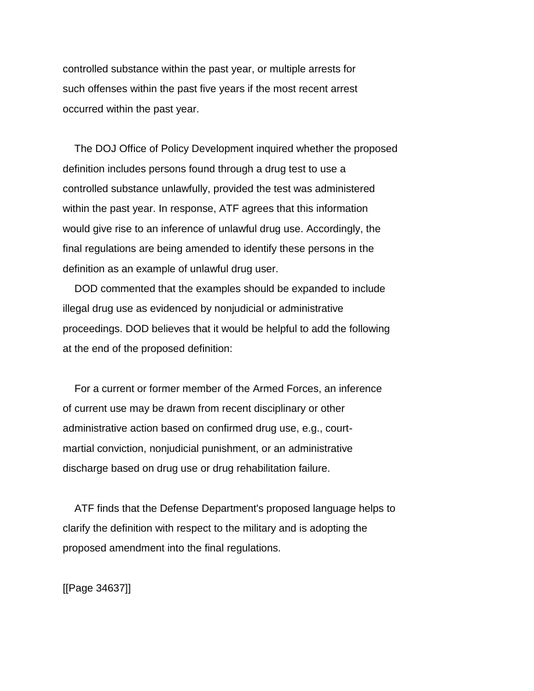controlled substance within the past year, or multiple arrests for such offenses within the past five years if the most recent arrest occurred within the past year.

 The DOJ Office of Policy Development inquired whether the proposed definition includes persons found through a drug test to use a controlled substance unlawfully, provided the test was administered within the past year. In response, ATF agrees that this information would give rise to an inference of unlawful drug use. Accordingly, the final regulations are being amended to identify these persons in the definition as an example of unlawful drug user.

 DOD commented that the examples should be expanded to include illegal drug use as evidenced by nonjudicial or administrative proceedings. DOD believes that it would be helpful to add the following at the end of the proposed definition:

 For a current or former member of the Armed Forces, an inference of current use may be drawn from recent disciplinary or other administrative action based on confirmed drug use, e.g., courtmartial conviction, nonjudicial punishment, or an administrative discharge based on drug use or drug rehabilitation failure.

 ATF finds that the Defense Department's proposed language helps to clarify the definition with respect to the military and is adopting the proposed amendment into the final regulations.

[[Page 34637]]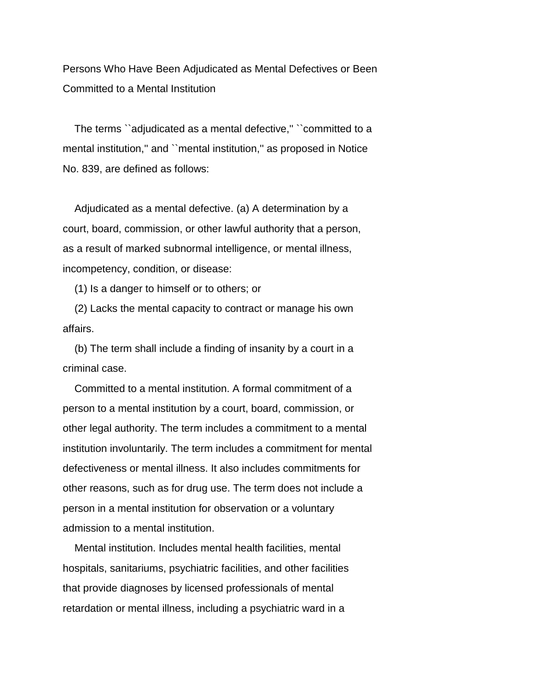Persons Who Have Been Adjudicated as Mental Defectives or Been Committed to a Mental Institution

 The terms ``adjudicated as a mental defective,'' ``committed to a mental institution," and "mental institution," as proposed in Notice No. 839, are defined as follows:

 Adjudicated as a mental defective. (a) A determination by a court, board, commission, or other lawful authority that a person, as a result of marked subnormal intelligence, or mental illness, incompetency, condition, or disease:

(1) Is a danger to himself or to others; or

 (2) Lacks the mental capacity to contract or manage his own affairs.

 (b) The term shall include a finding of insanity by a court in a criminal case.

 Committed to a mental institution. A formal commitment of a person to a mental institution by a court, board, commission, or other legal authority. The term includes a commitment to a mental institution involuntarily. The term includes a commitment for mental defectiveness or mental illness. It also includes commitments for other reasons, such as for drug use. The term does not include a person in a mental institution for observation or a voluntary admission to a mental institution.

 Mental institution. Includes mental health facilities, mental hospitals, sanitariums, psychiatric facilities, and other facilities that provide diagnoses by licensed professionals of mental retardation or mental illness, including a psychiatric ward in a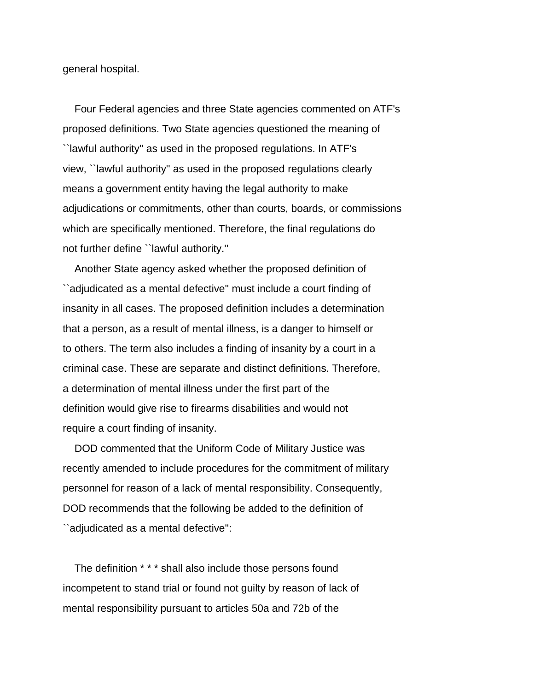general hospital.

 Four Federal agencies and three State agencies commented on ATF's proposed definitions. Two State agencies questioned the meaning of ``lawful authority'' as used in the proposed regulations. In ATF's view, ``lawful authority'' as used in the proposed regulations clearly means a government entity having the legal authority to make adjudications or commitments, other than courts, boards, or commissions which are specifically mentioned. Therefore, the final regulations do not further define ``lawful authority.''

 Another State agency asked whether the proposed definition of ``adjudicated as a mental defective'' must include a court finding of insanity in all cases. The proposed definition includes a determination that a person, as a result of mental illness, is a danger to himself or to others. The term also includes a finding of insanity by a court in a criminal case. These are separate and distinct definitions. Therefore, a determination of mental illness under the first part of the definition would give rise to firearms disabilities and would not require a court finding of insanity.

 DOD commented that the Uniform Code of Military Justice was recently amended to include procedures for the commitment of military personnel for reason of a lack of mental responsibility. Consequently, DOD recommends that the following be added to the definition of ``adjudicated as a mental defective'':

 The definition \* \* \* shall also include those persons found incompetent to stand trial or found not guilty by reason of lack of mental responsibility pursuant to articles 50a and 72b of the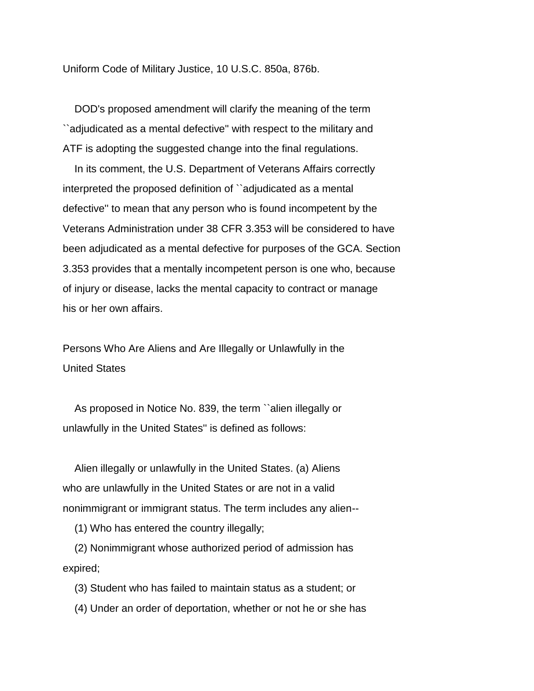Uniform Code of Military Justice, 10 U.S.C. 850a, 876b.

 DOD's proposed amendment will clarify the meaning of the term ``adjudicated as a mental defective'' with respect to the military and ATF is adopting the suggested change into the final regulations.

 In its comment, the U.S. Department of Veterans Affairs correctly interpreted the proposed definition of ``adjudicated as a mental defective'' to mean that any person who is found incompetent by the Veterans Administration under 38 CFR 3.353 will be considered to have been adjudicated as a mental defective for purposes of the GCA. Section 3.353 provides that a mentally incompetent person is one who, because of injury or disease, lacks the mental capacity to contract or manage his or her own affairs.

Persons Who Are Aliens and Are Illegally or Unlawfully in the United States

 As proposed in Notice No. 839, the term ``alien illegally or unlawfully in the United States'' is defined as follows:

 Alien illegally or unlawfully in the United States. (a) Aliens who are unlawfully in the United States or are not in a valid nonimmigrant or immigrant status. The term includes any alien--

(1) Who has entered the country illegally;

 (2) Nonimmigrant whose authorized period of admission has expired;

(3) Student who has failed to maintain status as a student; or

(4) Under an order of deportation, whether or not he or she has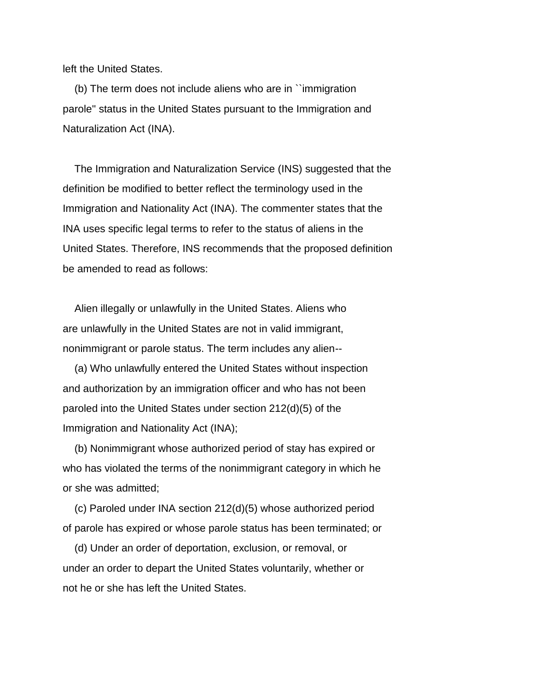left the United States.

 (b) The term does not include aliens who are in ``immigration parole'' status in the United States pursuant to the Immigration and Naturalization Act (INA).

 The Immigration and Naturalization Service (INS) suggested that the definition be modified to better reflect the terminology used in the Immigration and Nationality Act (INA). The commenter states that the INA uses specific legal terms to refer to the status of aliens in the United States. Therefore, INS recommends that the proposed definition be amended to read as follows:

 Alien illegally or unlawfully in the United States. Aliens who are unlawfully in the United States are not in valid immigrant, nonimmigrant or parole status. The term includes any alien--

 (a) Who unlawfully entered the United States without inspection and authorization by an immigration officer and who has not been paroled into the United States under section 212(d)(5) of the Immigration and Nationality Act (INA);

 (b) Nonimmigrant whose authorized period of stay has expired or who has violated the terms of the nonimmigrant category in which he or she was admitted;

 (c) Paroled under INA section 212(d)(5) whose authorized period of parole has expired or whose parole status has been terminated; or

 (d) Under an order of deportation, exclusion, or removal, or under an order to depart the United States voluntarily, whether or not he or she has left the United States.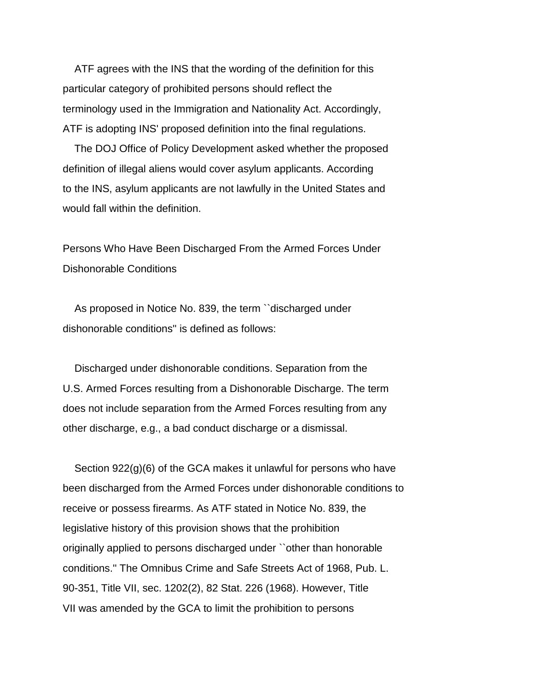ATF agrees with the INS that the wording of the definition for this particular category of prohibited persons should reflect the terminology used in the Immigration and Nationality Act. Accordingly, ATF is adopting INS' proposed definition into the final regulations.

 The DOJ Office of Policy Development asked whether the proposed definition of illegal aliens would cover asylum applicants. According to the INS, asylum applicants are not lawfully in the United States and would fall within the definition.

Persons Who Have Been Discharged From the Armed Forces Under Dishonorable Conditions

 As proposed in Notice No. 839, the term ``discharged under dishonorable conditions'' is defined as follows:

 Discharged under dishonorable conditions. Separation from the U.S. Armed Forces resulting from a Dishonorable Discharge. The term does not include separation from the Armed Forces resulting from any other discharge, e.g., a bad conduct discharge or a dismissal.

 Section 922(g)(6) of the GCA makes it unlawful for persons who have been discharged from the Armed Forces under dishonorable conditions to receive or possess firearms. As ATF stated in Notice No. 839, the legislative history of this provision shows that the prohibition originally applied to persons discharged under ``other than honorable conditions.'' The Omnibus Crime and Safe Streets Act of 1968, Pub. L. 90-351, Title VII, sec. 1202(2), 82 Stat. 226 (1968). However, Title VII was amended by the GCA to limit the prohibition to persons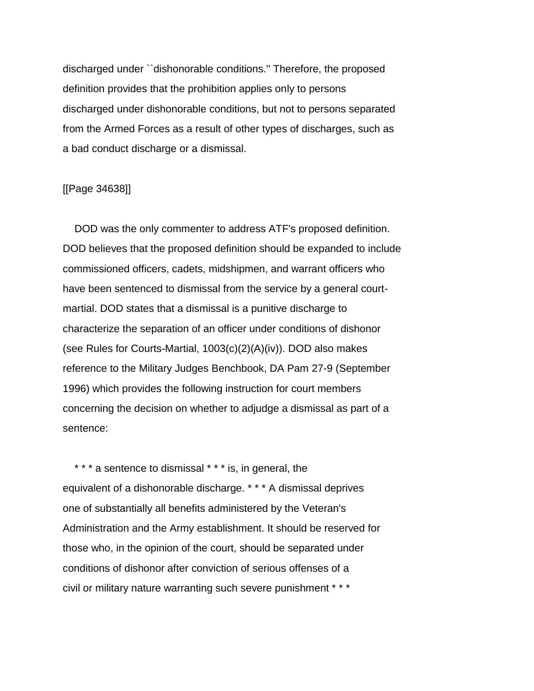discharged under ``dishonorable conditions.'' Therefore, the proposed definition provides that the prohibition applies only to persons discharged under dishonorable conditions, but not to persons separated from the Armed Forces as a result of other types of discharges, such as a bad conduct discharge or a dismissal.

## [[Page 34638]]

 DOD was the only commenter to address ATF's proposed definition. DOD believes that the proposed definition should be expanded to include commissioned officers, cadets, midshipmen, and warrant officers who have been sentenced to dismissal from the service by a general courtmartial. DOD states that a dismissal is a punitive discharge to characterize the separation of an officer under conditions of dishonor (see Rules for Courts-Martial, 1003(c)(2)(A)(iv)). DOD also makes reference to the Military Judges Benchbook, DA Pam 27-9 (September 1996) which provides the following instruction for court members concerning the decision on whether to adjudge a dismissal as part of a sentence:

\* \* \* a sentence to dismissal \* \* \* is, in general, the equivalent of a dishonorable discharge. \* \* \* A dismissal deprives one of substantially all benefits administered by the Veteran's Administration and the Army establishment. It should be reserved for those who, in the opinion of the court, should be separated under conditions of dishonor after conviction of serious offenses of a civil or military nature warranting such severe punishment \* \* \*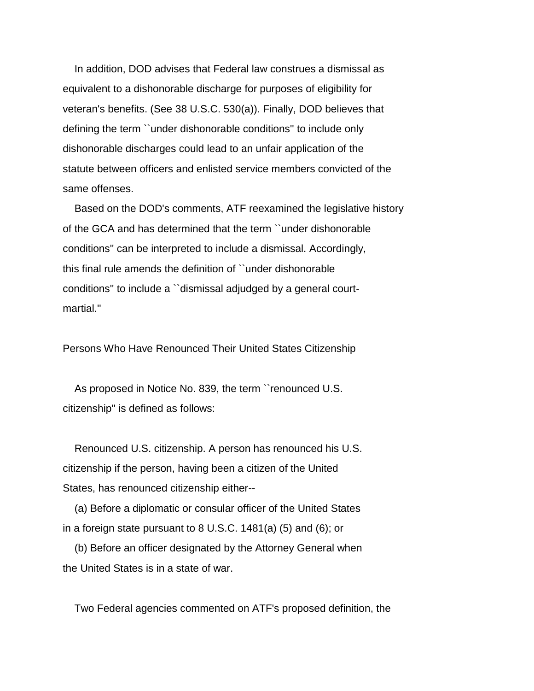In addition, DOD advises that Federal law construes a dismissal as equivalent to a dishonorable discharge for purposes of eligibility for veteran's benefits. (See 38 U.S.C. 530(a)). Finally, DOD believes that defining the term ``under dishonorable conditions'' to include only dishonorable discharges could lead to an unfair application of the statute between officers and enlisted service members convicted of the same offenses.

 Based on the DOD's comments, ATF reexamined the legislative history of the GCA and has determined that the term ``under dishonorable conditions'' can be interpreted to include a dismissal. Accordingly, this final rule amends the definition of ``under dishonorable conditions'' to include a ``dismissal adjudged by a general courtmartial.''

Persons Who Have Renounced Their United States Citizenship

 As proposed in Notice No. 839, the term ``renounced U.S. citizenship'' is defined as follows:

 Renounced U.S. citizenship. A person has renounced his U.S. citizenship if the person, having been a citizen of the United States, has renounced citizenship either--

 (a) Before a diplomatic or consular officer of the United States in a foreign state pursuant to 8 U.S.C. 1481(a) (5) and (6); or

 (b) Before an officer designated by the Attorney General when the United States is in a state of war.

Two Federal agencies commented on ATF's proposed definition, the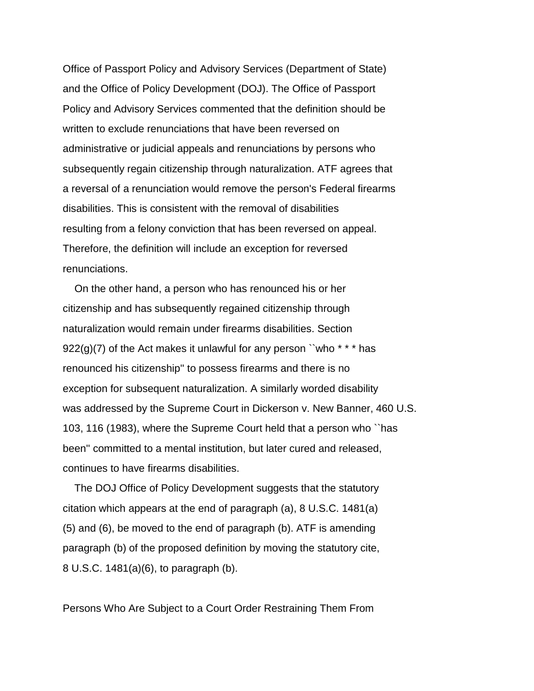Office of Passport Policy and Advisory Services (Department of State) and the Office of Policy Development (DOJ). The Office of Passport Policy and Advisory Services commented that the definition should be written to exclude renunciations that have been reversed on administrative or judicial appeals and renunciations by persons who subsequently regain citizenship through naturalization. ATF agrees that a reversal of a renunciation would remove the person's Federal firearms disabilities. This is consistent with the removal of disabilities resulting from a felony conviction that has been reversed on appeal. Therefore, the definition will include an exception for reversed renunciations.

 On the other hand, a person who has renounced his or her citizenship and has subsequently regained citizenship through naturalization would remain under firearms disabilities. Section  $922(g)(7)$  of the Act makes it unlawful for any person "who \*\*\* has renounced his citizenship'' to possess firearms and there is no exception for subsequent naturalization. A similarly worded disability was addressed by the Supreme Court in Dickerson v. New Banner, 460 U.S. 103, 116 (1983), where the Supreme Court held that a person who ``has been'' committed to a mental institution, but later cured and released, continues to have firearms disabilities.

 The DOJ Office of Policy Development suggests that the statutory citation which appears at the end of paragraph (a), 8 U.S.C. 1481(a) (5) and (6), be moved to the end of paragraph (b). ATF is amending paragraph (b) of the proposed definition by moving the statutory cite, 8 U.S.C. 1481(a)(6), to paragraph (b).

Persons Who Are Subject to a Court Order Restraining Them From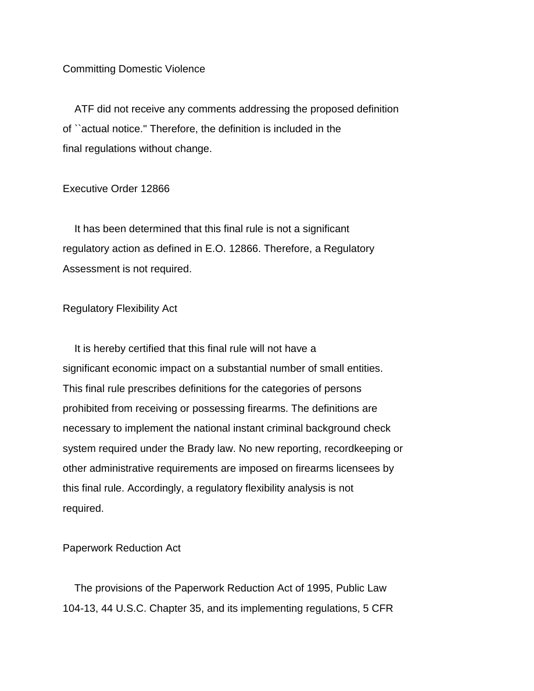## Committing Domestic Violence

 ATF did not receive any comments addressing the proposed definition of ``actual notice.'' Therefore, the definition is included in the final regulations without change.

# Executive Order 12866

 It has been determined that this final rule is not a significant regulatory action as defined in E.O. 12866. Therefore, a Regulatory Assessment is not required.

## Regulatory Flexibility Act

 It is hereby certified that this final rule will not have a significant economic impact on a substantial number of small entities. This final rule prescribes definitions for the categories of persons prohibited from receiving or possessing firearms. The definitions are necessary to implement the national instant criminal background check system required under the Brady law. No new reporting, recordkeeping or other administrative requirements are imposed on firearms licensees by this final rule. Accordingly, a regulatory flexibility analysis is not required.

Paperwork Reduction Act

 The provisions of the Paperwork Reduction Act of 1995, Public Law 104-13, 44 U.S.C. Chapter 35, and its implementing regulations, 5 CFR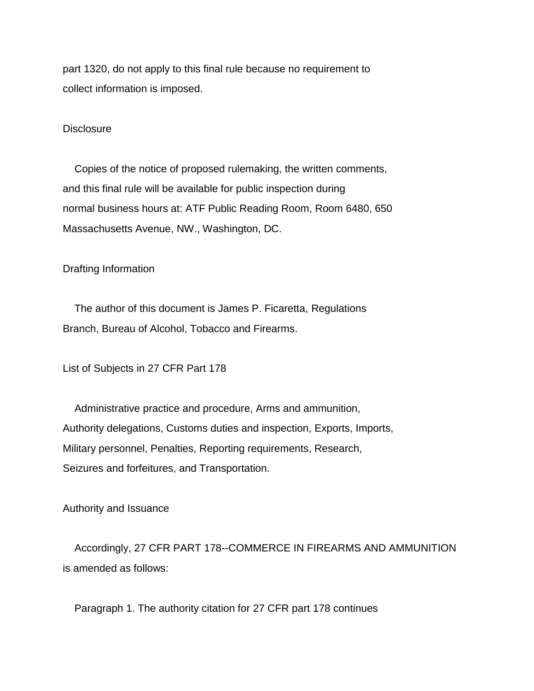part 1320, do not apply to this final rule because no requirement to collect information is imposed.

#### **Disclosure**

 Copies of the notice of proposed rulemaking, the written comments, and this final rule will be available for public inspection during normal business hours at: ATF Public Reading Room, Room 6480, 650 Massachusetts Avenue, NW., Washington, DC.

# Drafting Information

 The author of this document is James P. Ficaretta, Regulations Branch, Bureau of Alcohol, Tobacco and Firearms.

List of Subjects in 27 CFR Part 178

 Administrative practice and procedure, Arms and ammunition, Authority delegations, Customs duties and inspection, Exports, Imports, Military personnel, Penalties, Reporting requirements, Research, Seizures and forfeitures, and Transportation.

Authority and Issuance

 Accordingly, 27 CFR PART 178--COMMERCE IN FIREARMS AND AMMUNITION is amended as follows:

Paragraph 1. The authority citation for 27 CFR part 178 continues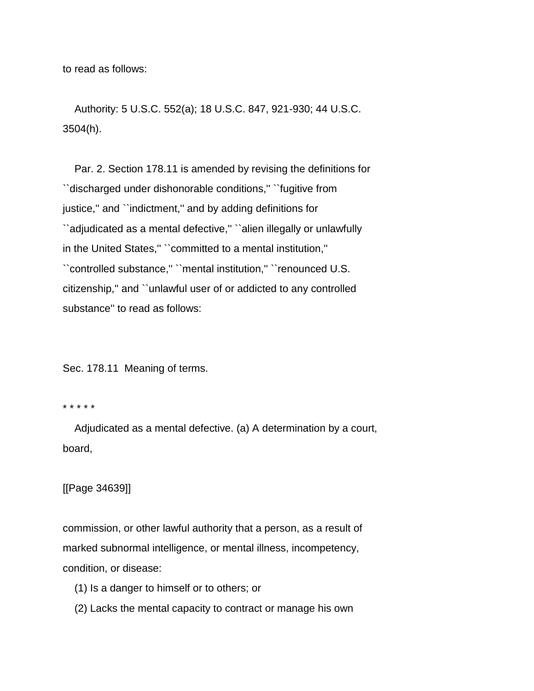to read as follows:

 Authority: 5 U.S.C. 552(a); 18 U.S.C. 847, 921-930; 44 U.S.C. 3504(h).

 Par. 2. Section 178.11 is amended by revising the definitions for ``discharged under dishonorable conditions,'' ``fugitive from justice," and "indictment," and by adding definitions for ``adjudicated as a mental defective,'' ``alien illegally or unlawfully in the United States,'' ``committed to a mental institution,'' ``controlled substance,'' ``mental institution,'' ``renounced U.S. citizenship,'' and ``unlawful user of or addicted to any controlled substance'' to read as follows:

Sec. 178.11 Meaning of terms.

#### \* \* \* \* \*

 Adjudicated as a mental defective. (a) A determination by a court, board,

# [[Page 34639]]

commission, or other lawful authority that a person, as a result of marked subnormal intelligence, or mental illness, incompetency, condition, or disease:

- (1) Is a danger to himself or to others; or
- (2) Lacks the mental capacity to contract or manage his own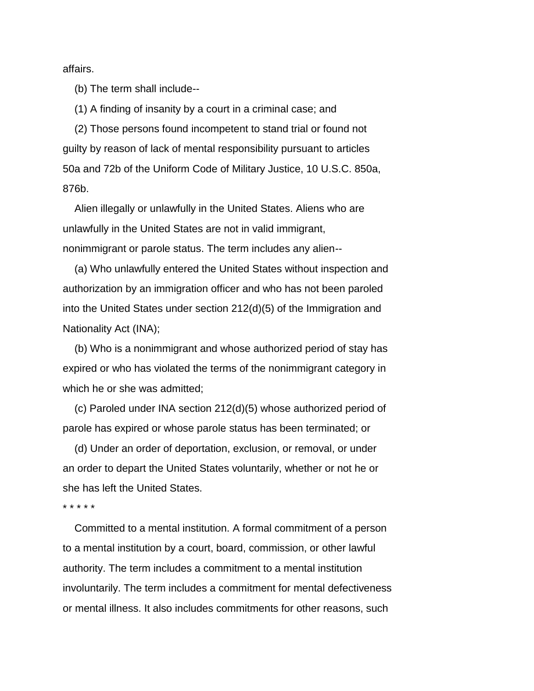affairs.

(b) The term shall include--

(1) A finding of insanity by a court in a criminal case; and

 (2) Those persons found incompetent to stand trial or found not guilty by reason of lack of mental responsibility pursuant to articles 50a and 72b of the Uniform Code of Military Justice, 10 U.S.C. 850a, 876b.

 Alien illegally or unlawfully in the United States. Aliens who are unlawfully in the United States are not in valid immigrant, nonimmigrant or parole status. The term includes any alien--

 (a) Who unlawfully entered the United States without inspection and authorization by an immigration officer and who has not been paroled into the United States under section 212(d)(5) of the Immigration and Nationality Act (INA);

 (b) Who is a nonimmigrant and whose authorized period of stay has expired or who has violated the terms of the nonimmigrant category in which he or she was admitted;

 (c) Paroled under INA section 212(d)(5) whose authorized period of parole has expired or whose parole status has been terminated; or

 (d) Under an order of deportation, exclusion, or removal, or under an order to depart the United States voluntarily, whether or not he or she has left the United States.

\* \* \* \* \*

 Committed to a mental institution. A formal commitment of a person to a mental institution by a court, board, commission, or other lawful authority. The term includes a commitment to a mental institution involuntarily. The term includes a commitment for mental defectiveness or mental illness. It also includes commitments for other reasons, such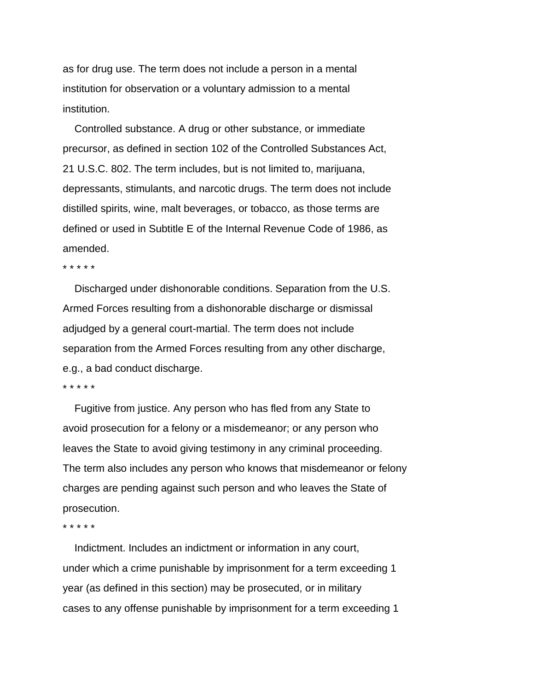as for drug use. The term does not include a person in a mental institution for observation or a voluntary admission to a mental institution.

 Controlled substance. A drug or other substance, or immediate precursor, as defined in section 102 of the Controlled Substances Act, 21 U.S.C. 802. The term includes, but is not limited to, marijuana, depressants, stimulants, and narcotic drugs. The term does not include distilled spirits, wine, malt beverages, or tobacco, as those terms are defined or used in Subtitle E of the Internal Revenue Code of 1986, as amended.

#### \* \* \* \* \*

 Discharged under dishonorable conditions. Separation from the U.S. Armed Forces resulting from a dishonorable discharge or dismissal adjudged by a general court-martial. The term does not include separation from the Armed Forces resulting from any other discharge, e.g., a bad conduct discharge.

\* \* \* \* \*

 Fugitive from justice. Any person who has fled from any State to avoid prosecution for a felony or a misdemeanor; or any person who leaves the State to avoid giving testimony in any criminal proceeding. The term also includes any person who knows that misdemeanor or felony charges are pending against such person and who leaves the State of prosecution.

\* \* \* \* \*

 Indictment. Includes an indictment or information in any court, under which a crime punishable by imprisonment for a term exceeding 1 year (as defined in this section) may be prosecuted, or in military cases to any offense punishable by imprisonment for a term exceeding 1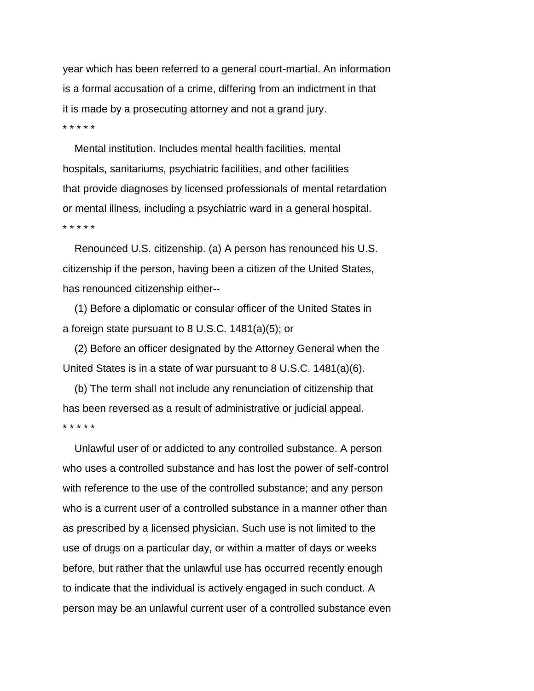year which has been referred to a general court-martial. An information is a formal accusation of a crime, differing from an indictment in that it is made by a prosecuting attorney and not a grand jury. \* \* \* \* \*

 Mental institution. Includes mental health facilities, mental hospitals, sanitariums, psychiatric facilities, and other facilities that provide diagnoses by licensed professionals of mental retardation or mental illness, including a psychiatric ward in a general hospital. \* \* \* \* \*

 Renounced U.S. citizenship. (a) A person has renounced his U.S. citizenship if the person, having been a citizen of the United States, has renounced citizenship either--

 (1) Before a diplomatic or consular officer of the United States in a foreign state pursuant to 8 U.S.C. 1481(a)(5); or

 (2) Before an officer designated by the Attorney General when the United States is in a state of war pursuant to 8 U.S.C. 1481(a)(6).

 (b) The term shall not include any renunciation of citizenship that has been reversed as a result of administrative or judicial appeal. \* \* \* \* \*

 Unlawful user of or addicted to any controlled substance. A person who uses a controlled substance and has lost the power of self-control with reference to the use of the controlled substance; and any person who is a current user of a controlled substance in a manner other than as prescribed by a licensed physician. Such use is not limited to the use of drugs on a particular day, or within a matter of days or weeks before, but rather that the unlawful use has occurred recently enough to indicate that the individual is actively engaged in such conduct. A person may be an unlawful current user of a controlled substance even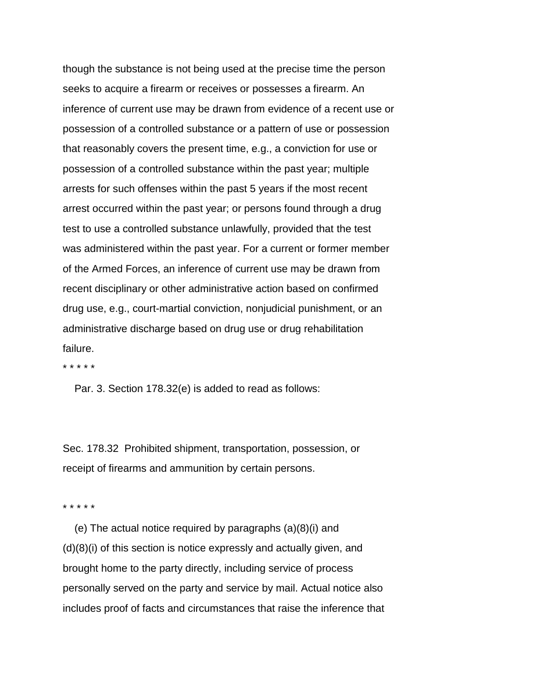though the substance is not being used at the precise time the person seeks to acquire a firearm or receives or possesses a firearm. An inference of current use may be drawn from evidence of a recent use or possession of a controlled substance or a pattern of use or possession that reasonably covers the present time, e.g., a conviction for use or possession of a controlled substance within the past year; multiple arrests for such offenses within the past 5 years if the most recent arrest occurred within the past year; or persons found through a drug test to use a controlled substance unlawfully, provided that the test was administered within the past year. For a current or former member of the Armed Forces, an inference of current use may be drawn from recent disciplinary or other administrative action based on confirmed drug use, e.g., court-martial conviction, nonjudicial punishment, or an administrative discharge based on drug use or drug rehabilitation failure.

\* \* \* \* \*

Par. 3. Section 178.32(e) is added to read as follows:

Sec. 178.32 Prohibited shipment, transportation, possession, or receipt of firearms and ammunition by certain persons.

\* \* \* \* \*

 (e) The actual notice required by paragraphs (a)(8)(i) and (d)(8)(i) of this section is notice expressly and actually given, and brought home to the party directly, including service of process personally served on the party and service by mail. Actual notice also includes proof of facts and circumstances that raise the inference that